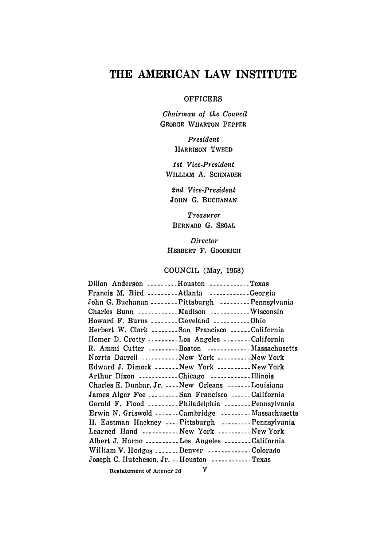# **THE AMERICAN LAW INSTITUTE**

#### OFFICERS

*Chairman of the Council*  **GEORGE WHARTON PEPPER** 

> *President*  **HARRISON TWEED**

*1st Vice-President*  WILLIAM A. SCHNADER

*2nd Vice-President*  JOHN G. BUCHANAN

*Treasurer*  **BERNARD G. SEGAL** 

*Director*  **HERBERT F. GOODRICH** 

## COUNCIL (May, 1958)

| Dillon Anderson Houston Texas                        |  |
|------------------------------------------------------|--|
| Francis M. Bird Atlanta Georgia                      |  |
| John G. Buchanan Pittsburgh Pennsylvania             |  |
| Charles Bunn Madison Wisconsin                       |  |
| Howard F. Burns --------Cleveland ------------Ohio   |  |
| Herbert W. Clark San Francisco California            |  |
| Homer D. Crotty Los Angeles California               |  |
| R. Ammi Cutter Boston Massachusetts                  |  |
| Norris Darrell  New York  New York                   |  |
| Edward J. Dimock -------New York ----------New York  |  |
| Arthur Dixon Chicago Illinois                        |  |
| Charles E. Dunbar, Jr.  New Orleans  Louisiana       |  |
| James Alger Fee San Francisco California             |  |
| Gerald F. Flood Philadelphia Pennsylvania            |  |
| Erwin N. Griswold Cambridge Massachusetts            |  |
| H. Eastman Hackney Pittsburgh Pennsylvania           |  |
| Learned Hand New York New York                       |  |
| Albert J. Harno Los Angeles California               |  |
| William V. Hodges Denver Colorado                    |  |
| Joseph C. Hutcheson, Jr. --Houston ------------Texas |  |
|                                                      |  |

**Restatement of Agency 2d V**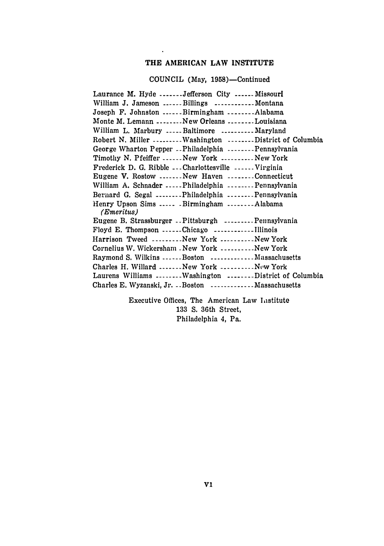## **THE AMERICAN LAW INSTITUTE**

 $\mathbf{A}^{\mathcal{A}}$ 

**COUNCIL (May, 1958)-Continued** 

| Laurance M. Hyde Jefferson City  Missouri                        |
|------------------------------------------------------------------|
| William J. Jameson Billings Montana                              |
| Joseph F. Johnston Birmingham Alabama                            |
| Monte M. Lemann New Orleans Louisiana                            |
| William L. Marbury  Baltimore  Maryland                          |
| Robert N. Miller ---------Washington -------District of Columbia |
| George Wharton Pepper Philadelphia Pennsylvania                  |
| Timothy N. Pfeiffer New York New York                            |
| Frederick D. G. Ribble --- Charlottesville ------ Virginia       |
| Eugene V. Rostow New Haven Connecticut                           |
| William A. Schnader Philadelphia Pennsylvania                    |
| Bernard G. Segal Philadelphia Pennsylvania                       |
| Henry Upson Sims  Birmingham Alabama<br>(Emeritus)               |
| Eugene B. Strassburger - Pittsburgh ---------Pennsylvania        |
| Floyd E. Thompson Chicago Illinois                               |
| Harrison Tweed New York New York                                 |
| Cornelius W. Wickersham - New York ----------New York            |
| Raymond S. Wilkins Boston Massachusetts                          |
| Charles H. Willard  New York  New York                           |
| Laurens Williams Washington District of Columbia                 |
| Charles E. Wyzanski, Jr. . Boston  Massachusetts                 |

**Executive Offices, The American Law I,1stitute 133 S. 36th Street, Philadelphia 4, Pa.**